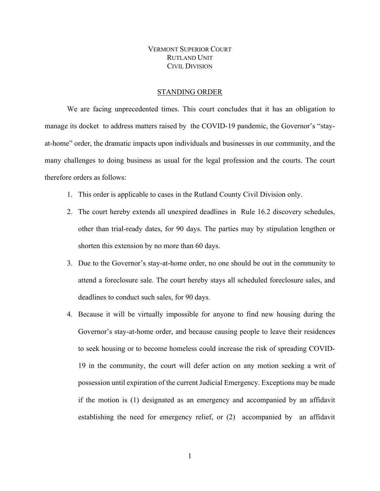## VERMONT SUPERIOR COURT RUTLAND UNIT CIVIL DIVISION

## STANDING ORDER

We are facing unprecedented times. This court concludes that it has an obligation to manage its docket to address matters raised by the COVID-19 pandemic, the Governor's "stayat-home" order, the dramatic impacts upon individuals and businesses in our community, and the many challenges to doing business as usual for the legal profession and the courts. The court therefore orders as follows:

- 1. This order is applicable to cases in the Rutland County Civil Division only.
- 2. The court hereby extends all unexpired deadlines in Rule 16.2 discovery schedules, other than trial-ready dates, for 90 days. The parties may by stipulation lengthen or shorten this extension by no more than 60 days.
- 3. Due to the Governor's stay-at-home order, no one should be out in the community to attend a foreclosure sale. The court hereby stays all scheduled foreclosure sales, and deadlines to conduct such sales, for 90 days.
- 4. Because it will be virtually impossible for anyone to find new housing during the Governor's stay-at-home order, and because causing people to leave their residences to seek housing or to become homeless could increase the risk of spreading COVID-19 in the community, the court will defer action on any motion seeking a writ of possession until expiration of the current Judicial Emergency. Exceptions may be made if the motion is (1) designated as an emergency and accompanied by an affidavit establishing the need for emergency relief, or (2) accompanied by an affidavit